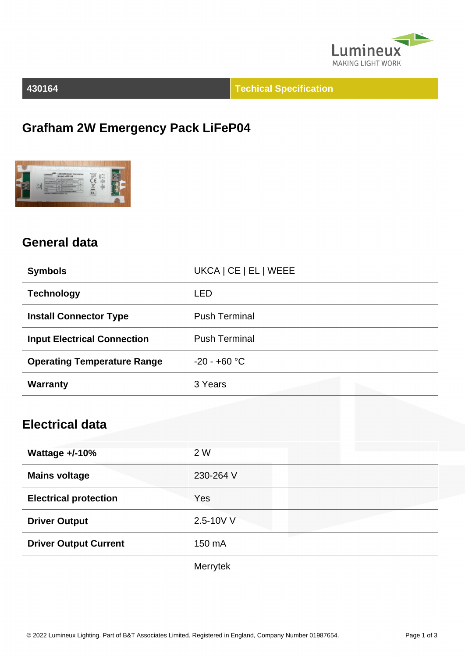

**430164 Techical Specification**

# **Grafham 2W Emergency Pack LiFeP04**



#### **General data**

| <b>Symbols</b>                     | UKCA   CE   EL   WEEE |
|------------------------------------|-----------------------|
| <b>Technology</b>                  | <b>LED</b>            |
| <b>Install Connector Type</b>      | <b>Push Terminal</b>  |
| <b>Input Electrical Connection</b> | <b>Push Terminal</b>  |
| <b>Operating Temperature Range</b> | $-20 - +60 °C$        |
| <b>Warranty</b>                    | 3 Years               |
|                                    |                       |
| <b>Electrical data</b>             |                       |
| <b>Wattage +/-10%</b>              | 2 W                   |
| <b>Mains voltage</b>               | 230-264 V             |
| <b>Electrical protection</b>       | Yes                   |
| <b>Driver Output</b>               | 2.5-10V V             |
| <b>Driver Output Current</b>       | 150 mA                |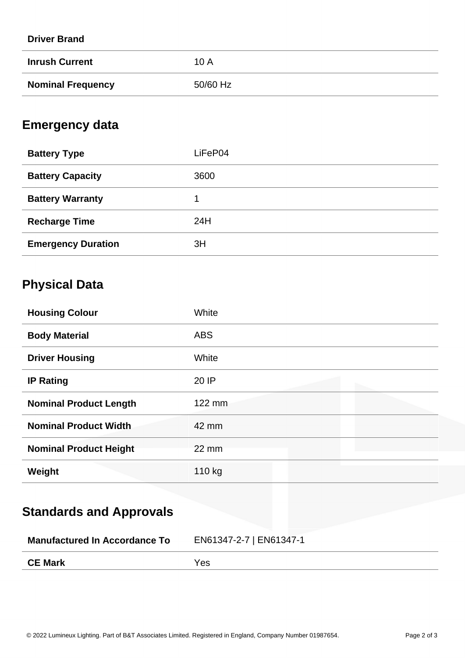| <b>Driver Brand</b>      |          |
|--------------------------|----------|
| <b>Inrush Current</b>    | 10 A     |
| <b>Nominal Frequency</b> | 50/60 Hz |

### **Emergency data**

| <b>Battery Type</b>       | LiFeP04 |
|---------------------------|---------|
| <b>Battery Capacity</b>   | 3600    |
| <b>Battery Warranty</b>   |         |
| <b>Recharge Time</b>      | 24H     |
| <b>Emergency Duration</b> | 3H      |

# **Physical Data**

| <b>Housing Colour</b>         | White             |
|-------------------------------|-------------------|
| <b>Body Material</b>          | <b>ABS</b>        |
| <b>Driver Housing</b>         | White             |
| <b>IP Rating</b>              | 20 IP             |
| <b>Nominal Product Length</b> | 122 mm            |
| <b>Nominal Product Width</b>  | 42 mm             |
| <b>Nominal Product Height</b> | $22 \, \text{mm}$ |
| Weight                        | 110 kg            |

# **Standards and Approvals**

| <b>Manufactured In Accordance To</b> | EN61347-2-7   EN61347-1 |
|--------------------------------------|-------------------------|
| <b>CE Mark</b>                       | <b>Yes</b>              |